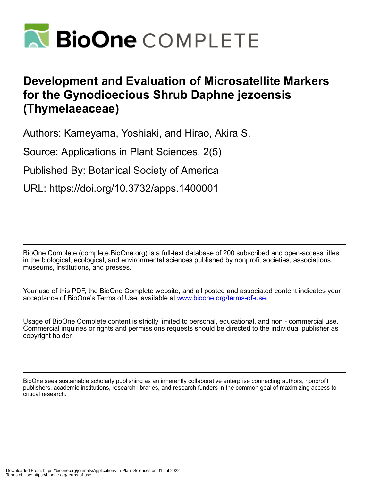

# **Development and Evaluation of Microsatellite Markers for the Gynodioecious Shrub Daphne jezoensis (Thymelaeaceae)**

Authors: Kameyama, Yoshiaki, and Hirao, Akira S.

Source: Applications in Plant Sciences, 2(5)

Published By: Botanical Society of America

URL: https://doi.org/10.3732/apps.1400001

BioOne Complete (complete.BioOne.org) is a full-text database of 200 subscribed and open-access titles in the biological, ecological, and environmental sciences published by nonprofit societies, associations, museums, institutions, and presses.

Your use of this PDF, the BioOne Complete website, and all posted and associated content indicates your acceptance of BioOne's Terms of Use, available at www.bioone.org/terms-of-use.

Usage of BioOne Complete content is strictly limited to personal, educational, and non - commercial use. Commercial inquiries or rights and permissions requests should be directed to the individual publisher as copyright holder.

BioOne sees sustainable scholarly publishing as an inherently collaborative enterprise connecting authors, nonprofit publishers, academic institutions, research libraries, and research funders in the common goal of maximizing access to critical research.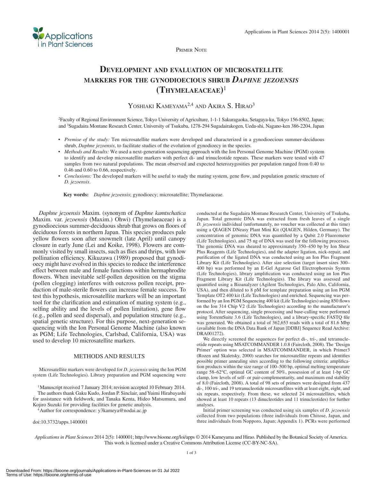

PRIMER NOTE

## **DEVELOPMENT AND EVALUATION OF MICROSATELLITE MARKERS FOR THE GYNODIOECIOUS SHRUB** *DAPHNE JEZOENSIS*  **(THYMELAEACEAE)** <sup>1</sup>

YOSHIAKI KAMEYAMA<sup>2,4</sup> AND AKIRA S. HIRAO<sup>3</sup>

2 Faculty of Regional Environment Science, Tokyo University of Agriculture, 1-1-1 Sakuragaoka, Setagaya-ku, Tokyo 156-8502, Japan; and 3 Sugadaira Montane Research Center, University of Tsukuba, 1278-294 Sugadairakogen, Ueda-shi, Nagano-ken 386-2204, Japan

- *Premise of the study:* Ten microsatellite markers were developed and characterized in a gynodioecious summer-deciduous shrub, *Daphne jezoensis* , to facilitate studies of the evolution of gynodioecy in the species.
- *Methods and Results:* We used a next-generation sequencing approach with the Ion Personal Genome Machine (PGM) system to identify and develop microsatellite markers with perfect di- and trinucleotide repeats. These markers were tested with 47 samples from two natural populations. The mean observed and expected heterozygosities per population ranged from 0.40 to 0.46 and 0.60 to 0.66, respectively.
- *Conclusions:* The developed markers will be useful to study the mating system, gene flow, and population genetic structure of *D. jezoensis* .

 **Key words:** *Daphne jezoensis* ; gynodioecy; microsatellite; Thymelaeaceae.

*Daphne jezoensis* Maxim. (synonym of *Daphne kamtschatica* Maxim. var. *jezoensis* (Maxim.) Ohwi) (Thymelaeaceae) is a gynodioecious summer-deciduous shrub that grows on floors of deciduous forests in northern Japan. This species produces pale yellow flowers soon after snowmelt (late April) until canopy closure in early June ( Lei and Koike, 1998 ). Flowers are commonly visited by small insects, such as flies and thrips, with low pollination efficiency. Kikuzawa (1989) proposed that gynodioecy might have evolved in this species to reduce the interference effect between male and female functions within hermaphrodite flowers. When inevitable self-pollen deposition on the stigma (pollen clogging) interferes with outcross pollen receipt, production of male-sterile flowers can increase female success. To test this hypothesis, microsatellite markers will be an important tool for the clarification and estimation of mating system (e.g., selfing ability and the levels of pollen limitation), gene flow (e.g., pollen and seed dispersal), and population structure (e.g., spatial genetic structure). For this purpose, next-generation sequencing with the Ion Personal Genome Machine (also known as PGM; Life Technologies, Carlsbad, California, USA) was used to develop 10 microsatellite markers.

### METHODS AND RESULTS

 Microsatellite markers were developed for *D. jezoensis* using the Ion PGM system (Life Technologies). Library preparation and PGM sequencing were

<sup>1</sup> Manuscript received 7 January 2014; revision accepted 10 February 2014. The authors thank Gaku Kudo, Jordan P. Sinclair, and Yuimi Hirabayashi for assistance with fieldwork, and Tanaka Kenta, Hideo Matsumura, and

Kojiro Suzuki for providing facilities for genetic analysis.<br><sup>4</sup> Author for correspondence: y3kameya@nodai.ac.jp

doi:10.3732/apps.1400001

conducted at the Sugadaira Montane Research Center, University of Tsukuba, Japan. Total genomic DNA was extracted from fresh leaves of a single *D. jezoensis* individual (unfortunately, no voucher was collected at this time) using a QIAGEN DNeasy Plant Mini Kit (QIAGEN, Hilden, Germany). The concentration of genomic DNA was quantified by a Qubit 2.0 Fluorometer (Life Technologies), and 75 ng of DNA was used for the following processes. The genomic DNA was sheared to approximately 350–450 bp by Ion Shear Plus Reagents (Life Technologies), and the adapter ligation, nick-repair, and purification of the ligated DNA was conducted using an Ion Plus Fragment Library Kit (Life Technologies). After size selection (target insert sizes 300– 400 bp) was performed by an E-Gel Agarose Gel Electrophoresis System (Life Technologies), library amplification was conducted using an Ion Plus Fragment Library Kit (Life Technologies). The library was assessed and quantified using a Bioanalyzer (Agilent Technologies, Palo Alto, California, USA), and then diluted to 8 pM for template preparation using an Ion PGM Template OT2 400 kit (Life Technologies) and enriched. Sequencing was performed by an Ion PGM Sequencing 400 kit (Life Technologies) using 850 flows on the Ion 314 Chip V2 (Life Technologies) according to the manufacturer's protocol. After sequencing, single processing and base-calling were performed using TorrentSuite 3.6 (Life Technologies), and a library-specific FASTQ file was generated. We obtained a total of 362,653 reads with a total of 81.6 Mbp (available from the DNA Data Bank of Japan [DDBJ] Sequence Read Archive: DRA001272).

We directly screened the sequences for perfect di-, tri-, and tetranucleotide repeats using MSATCOMMANDER 1.0.8 (Faircloth, 2008). The 'Design Primer' option was selected in MSATCOMMANDER, in which Primer3 (Rozen and Skaletsky, 2000) searches for microsatellite repeats and identifies possible primer annealing sites according to the following criteria: amplification products within the size range of 100–500 bp, optimal melting temperature range  $58-62$ °C, optimal GC content of  $50\%$ , possession of at least 1-bp GC clamp, low levels of self- or pair-complementarity, and maximum end stability of 8.0 (Faircloth, 2008). A total of 98 sets of primers were designed from 437 di-, 100 tri-, and 19 tetranucleotide microsatellites with at least eight, eight, and six repeats, respectively. From these, we selected 24 microsatellites, which showed at least 10 repeats (13 dinucleotides and 11 trinucleotides) for further analyses.

 Initial primer screening was conducted using six samples of *D. jezoensis* collected from two populations (three individuals from Chitose, Japan, and three individuals from Nopporo, Japan; Appendix 1). PCRs were performed

*Applications in Plant Sciences* 2014 2(5): 1400001; http://www.bioone.org/loi/apps © 2014 Kameyama and Hirao. Published by the Botanical Society of America. This work is licensed under a Creative Commons Attribution License (CC-BY-NC-SA).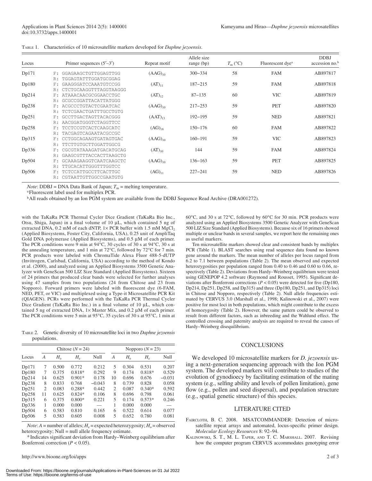| TABLE 1. | Characteristics of 10 microsatellite markers developed for <i>Daphne jezoensis</i> . |  |  |  |  |
|----------|--------------------------------------------------------------------------------------|--|--|--|--|

| Locus |       | Primer sequences $(5'–3')$ | Repeat motif | Allele size<br>range $(bp)$ | $T_{\rm m}$ (°C) | Fluorescent dye <sup>a</sup> | <b>DDBJ</b><br>accession no. <sup>b</sup> |
|-------|-------|----------------------------|--------------|-----------------------------|------------------|------------------------------|-------------------------------------------|
| Dp171 | F:    | GGAGAAGCTGTTGGAGTTGG       | $(AAG)_{10}$ | $300 - 334$                 | 58               | <b>FAM</b>                   | AB897817                                  |
|       | R:    | TGGAGTATTTGGATGCGGAG       |              |                             |                  |                              |                                           |
| Dp180 | F:    | GAAGGGATCCAAATGTCCGG       | $(AT)_{11}$  | $187 - 215$                 | 59               | <b>FAM</b>                   | AB897818                                  |
|       | R:    | CTCTGCAAGGTTTAGGTAAGGG     |              |                             |                  |                              |                                           |
| Dp214 | F:    | ATAAACAACGCGGAACCTGC       | $(AT)_{12}$  | $87 - 135$                  | 60               | <b>VIC</b>                   | AB897819                                  |
|       | R:    | GCGCCGGATTACATTATGGG       |              |                             |                  |                              |                                           |
| Dp238 | F.    | ACGCCCTGTACTCGAATCAC       | $(AAG)_{10}$ | $217 - 253$                 | 59               | <b>PET</b>                   | AB897820                                  |
|       | R:    | TCTCGAACTGATTTGCCTGTG      |              |                             |                  |                              |                                           |
| Dp251 | F:    | GCCTTGACTAGTTACACGGG       | $(AAT)_{13}$ | $192 - 195$                 | 59               | <b>NED</b>                   | AB897821                                  |
|       | R:    | AACGGATGGGTCTAGGTTCC       |              |                             |                  |                              |                                           |
| Dp258 | $F$ : | TCCTCCGTCACTCAAGCATC       | $(AG)_{18}$  | $150 - 176$                 | 60               | <b>FAM</b>                   | AB897822                                  |
|       | R:    | TACGAGTCAGAATACGCCGC       |              |                             |                  |                              |                                           |
| Dp315 | F:    | CCTGGCAGAAGTGATAGTGAC      | $(AAG)_{10}$ | $160 - 191$                 | 59               | <b>VIC</b>                   | AB897823                                  |
|       | R:    | CTTGTGCTTGGATTGGCG         |              |                             |                  |                              |                                           |
| Dp336 | $F$ : | CGCGTATAAAGATGACATGCAG     | $(AT)_{10}$  | 144                         | 59               | <b>FAM</b>                   | AB897824                                  |
|       | R:    | GAAGCGTTTACCACTTAAGCTG     |              |                             |                  |                              |                                           |
| Dp504 | $F$ : | GCAAAGAAGGTCAATCAAGCTC     | $(AAG)_{10}$ | $136 - 163$                 | 59               | <b>PET</b>                   | AB897825                                  |
|       | R:    | TTGCACATTGGGTTTGGTCC       |              |                             |                  |                              |                                           |
| Dp506 | F:    | TCTCCATTGCCTTCACTTGC       | $(AG)_{11}$  | $227 - 241$                 | 59               | <b>NED</b>                   | AB897826                                  |
|       | R:    | CGTAATTGTTGGCCGAATGTG      |              |                             |                  |                              |                                           |

*Note*: DDBJ = DNA Data Bank of Japan;  $T_m$  = melting temperature.

Fluorescent label used for multiplex PCR.

b All reads obtained by an Ion PGM system are available from the DDBJ Sequence Read Archive (DRA001272).

with the TaKaRa PCR Thermal Cycler Dice Gradient (TaKaRa Bio Inc., Otsu, Shiga, Japan) in a final volume of 10  $\mu$ L, which contained 5 ng of extracted DNA,  $0.2$  mM of each dNTP,  $1 \times$  PCR buffer with 1.5 mM MgCl<sub>2</sub> (Applied Biosystems, Foster City, California, USA), 0.25 unit of AmpliTaq Gold DNA polymerase (Applied Biosystems), and 0.5 μM of each primer. The PCR conditions were 9 min at  $94^{\circ}$ C, 30 cycles of 30 s at  $94^{\circ}$ C, 30 s at the annealing temperature, and 1 min at  $72^{\circ}$ C, followed by  $72^{\circ}$ C for 7 min. PCR products were labeled with ChromaTide Alexa Fluor 488-5-dUTP (Invitrogen, Carlsbad, California, USA) according to the method of Kondo et al. (2000) , and analyzed using an Applied Biosystems 3500 Genetic Analyzer with GeneScan 500 LIZ Size Standard (Applied Biosystems). Sixteen of 24 primers that produced clear bands were selected for further analyses using 47 samples from two populations (24 from Chitose and 23 from Nopporo). Forward primers were labeled with fluorescent dye (6-FAM, NED, PET, or VIC) and multiplexed using a Type-it Microsatellite PCR Kit (QIAGEN). PCRs were performed with the TaKaRa PCR Thermal Cycler Dice Gradient (TaKaRa Bio Inc.) in a final volume of 10 μL, which contained 5 ng of extracted DNA,  $1 \times$  Master Mix, and 0.2  $\mu$ M of each primer. The PCR conditions were 5 min at  $95^{\circ}$ C, 35 cycles of 30 s at  $95^{\circ}$ C, 1 min at

TABLE 2. Genetic diversity of 10 microsatellite loci in two *Daphne jezoensis* populations.

|       | Chitose $(N = 24)$ |              |             |          | Nopporo $(N = 23)$       |              |             |          |
|-------|--------------------|--------------|-------------|----------|--------------------------|--------------|-------------|----------|
| Locus | A                  | $H_{\alpha}$ | $H_{\rm e}$ | Null     | А                        | $H_{\alpha}$ | $H_{\rm e}$ | Null     |
| Dp171 | 7                  | 0.500        | 0.772       | 0.212    | 5                        | 0.304        | 0.531       | 0.207    |
| Dp180 | 7                  | 0.375        | $0.818*$    | 0.292    | 9                        | 0.174        | $0.818*$    | 0.529    |
| Dp214 | 14                 | 0.625        | $0.901*$    | 0.178    | 10                       | 0.696        | 0.676       | $-0.031$ |
| Dp238 | 8                  | 0.833        | 0.768       | $-0.043$ | 8                        | 0.739        | 0.828       | 0.058    |
| Dp251 | $\overline{c}$     | 0.083        | $0.288*$    | 0.442    | $\mathfrak{D}$           | 0.087        | $0.340*$    | 0.592    |
| Dp258 | 11                 | 0.625        | $0.824*$    | 0.106    | 8                        | 0.696        | 0.798       | 0.061    |
| Dp315 | 6                  | 0.375        | $0.800*$    | 0.221    | $\overline{\phantom{0}}$ | 0.174        | $0.573*$    | 0.246    |
| Dp336 | 1                  | 0.000        | 0.000       |          | 1                        | 0.000        | 0.000       |          |
| Dp504 | 6                  | 0.583        | 0.810       | 0.165    | 6                        | 0.522        | 0.614       | 0.077    |
| Dp506 | 5                  | 0.583        | 0.605       | 0.008    | $\overline{\phantom{0}}$ | 0.652        | 0.780       | 0.081    |

*Note*:  $A =$  number of alleles;  $H_e =$  expected heterozygosity;  $H_o =$  observed heterozygosity; Null = null allele frequency estimate.

\* Indicates signifi cant deviation from Hardy–Weinberg equilibrium after Bonferroni correction  $(P < 0.05)$ .

60 $\rm ^{\circ}C,$  and 30 s at 72 $\rm ^{\circ}C$ , followed by 60 $\rm ^{\circ}C$  for 30 min. PCR products were analyzed using an Applied Biosystems 3500 Genetic Analyzer with GeneScan 500 LIZ Size Standard (Applied Biosystems). Because six of 16 primers showed multiple or unclear bands in several samples, we report here the remaining ones as useful markers.

 Ten microsatellite markers showed clear and consistent bands by multiplex PCR (Table 1). BLAST searches using read sequence data found no known gene around the markers. The mean number of alleles per locus ranged from 6.2 to 7.1 between populations (Table 2). The mean observed and expected heterozygosities per population ranged from 0.40 to 0.46 and 0.60 to 0.66, respectively (Table 2). Deviations from Hardy–Weinberg equilibrium were tested using GENEPOP 4.2 software (Raymond and Rousset, 1995). Significant deviations after Bonferroni corrections  $(P < 0.05)$  were detected for five (Dp180, Dp214, Dp251, Dp258, and Dp315) and three (Dp180, Dp251, and Dp315) loci in Chitose and Nopporo, respectively (Table 2). Null allele frequencies estimated by CERVUS 3.0 (Marshall et al., 1998; Kalinowski et al., 2007) were positive for most loci in both populations, which might contribute to the excess of homozygosity (Table 2). However, the same pattern could be observed to result from different factors, such as inbreeding and the Wahlund effect. The controlled crossing and paternity analysis are required to reveal the causes of Hardy–Weinberg disequilibrium.

#### **CONCLUSIONS**

 We developed 10 microsatellite markers for *D. jezoensis* using a next-generation sequencing approach with the Ion PGM system. The developed markers will contribute to studies of the evolution of gynodioecy by facilitating estimation of the mating system (e.g., selfing ability and levels of pollen limitation), gene flow (e.g., pollen and seed dispersal), and population structure (e.g., spatial genetic structure) of this species.

### LITERATURE CITED

FAIRCLOTH, B. C. 2008. MSATCOMMANDER: Detection of microsatellite repeat arrays and automated, locus-specific primer design. *Molecular Ecology Resources 8: 92-94.* 

KALINOWSKI, S. T., M. L. TAPER, AND T. C. MARSHALL. 2007. Revising how the computer program CERVUS accommodates genotyping error